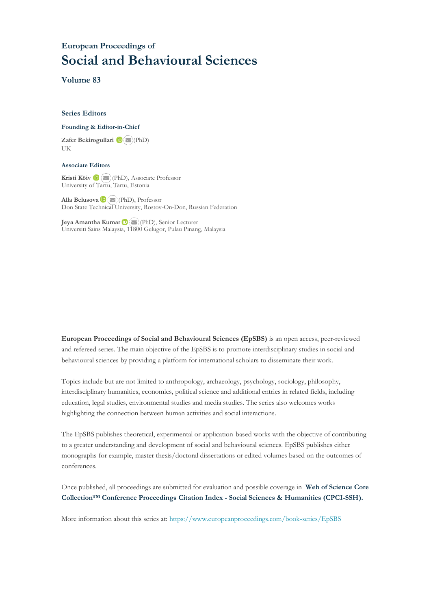## **European Proceedings of Social and Behavioural Sciences**

**Volume 83**

#### **Series Editors**

#### **Founding & Editor-in-Chief**

**Zafer Bekirogullari**(PhD) UK

#### **Associate Editors**

**Kristi Köiv** (PhD), Associate Professor University of Tartu, Tartu, Estonia

**Alla Belusova**(PhD), Professor Don State Technical University, Rostov-On-Don, Russian Federation

**Jeya Amantha Kumar**(PhD), Senior Lecturer Universiti Sains Malaysia, [1180](mailto:amantha@usm.my)0 Gelugor, Pulau Pinang, Malaysia

**European Proceedings of Social and Behavioural Sciences (EpSBS)** is an open access, peer-reviewed and refereed series. The main objective of the EpSBS is to promote interdisciplinary studies in social and behavioural sciences by providing a platform for international scholars to disseminate their work.

Topics include but are not limited to anthropology, archaeology, psychology, sociology, philosophy, interdisciplinary humanities, economics, political science and additional entries in related fields, including education, legal studies, environmental studies and media studies. The series also welcomes works highlighting the connection between human activities and social interactions.

The EpSBS publishes theoretical, experimental or application-based works with the objective of contributing to a greater understanding and development of social and behavioural sciences. EpSBS publishes either monographs for example, master thesis/doctoral dissertations or edited volumes based on the outcomes of conferences.

Once published, all proceedings are submitted for evaluation and possible coverage in **Web of [Science](https://clarivate.com/webofsciencegroup/solutions/webofscience-cpci/) Core Collection™ Conference Proceedings Citation Index - Social Sciences & Humanities [\(CPCI-SSH\).](https://clarivate.com/webofsciencegroup/solutions/webofscience-cpci/)**

More information about this series at[: https://www.europeanproceedings.com/book-series/EpSBS](https://www.europeanproceedings.com/book-series/EpSBS)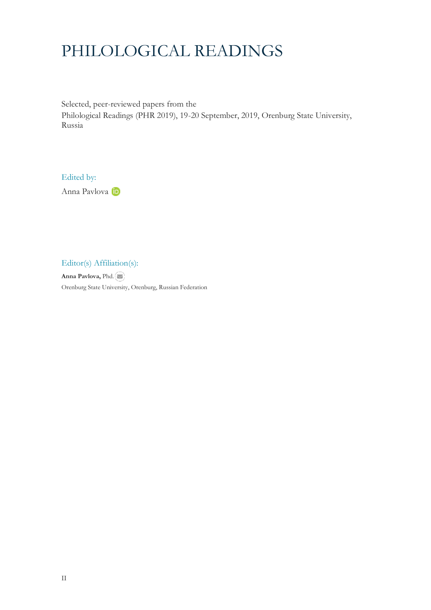# PHILOLOGICAL READINGS

Selected, peer-reviewed papers from the Philological Readings (PHR 2019), 19-20 September, 2019, Orenburg State University, Russia

Edited by:

Anna Pavlova

Editor(s) Affiliation(s):

**Anna Pavlova,** Phd. Orenburg State University, Orenburg, Russian Federation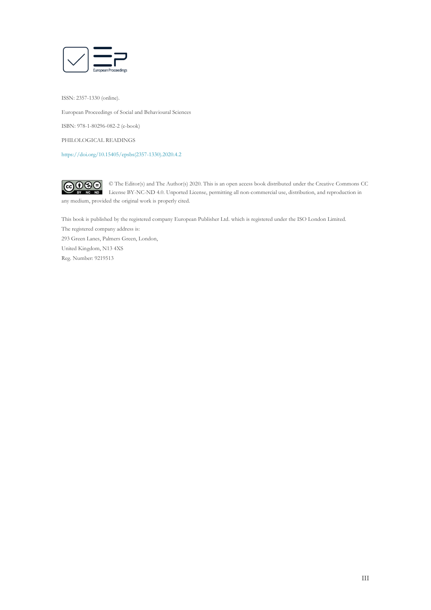

ISSN: 2357-1330 (online).

European Proceedings of Social and Behavioural Sciences

ISBN: 978-1-80296-082-2 (e-book)

PHILOLOGICAL READINGS

[https://doi.org/10.15405/epsbs\(2357-1330\).2020.4.2](https://doi.org/10.15405/epsbs(2357-1330).2020.4.2)

 $\bigcirc \mathbf{0} \mathbf{0}$ © The Editor(s) and The Author(s) 2020. This is an open access book distributed under the Creative Commons CC License BY-NC-ND 4.0. Unported License, permitting all non-commercial use, distribution, and reproduction in  $\overline{ND}$ any medium, provided the original work is properly cited.

This book is published by the registered company European Publisher Ltd. which is registered under the ISO London Limited. The registered company address is: 293 Green Lanes, Palmers Green, London, United Kingdom, N13 4XS Reg. Number: 9219513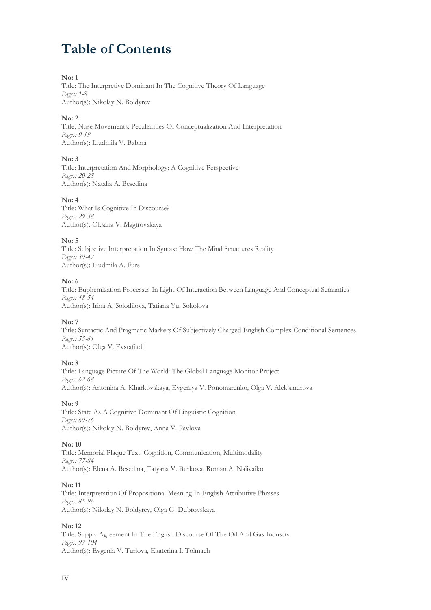## **Table of Contents**

## **No: 1**

Title: The Interpretive Dominant In The Cognitive Theory Of Language *Pages: 1-8* Author(s): Nikolay N. Boldyrev

## **No: 2**

Title: Nose Movements: Peculiarities Of Conceptualization And Interpretation *Pages: 9-19* Author(s): Liudmila V. Babina

## **No: 3**

Title: Interpretation And Morphology: A Cognitive Perspective *Pages: 20-28* Author(s): Natalia A. Besedina

## **No: 4**

Title: What Is Cognitive In Discourse? *Pages: 29-38* Author(s): Oksana V. Magirovskaya

## **No: 5**

Title: Subjective Interpretation In Syntax: How The Mind Structures Reality *Pages: 39-47* Author(s): Liudmila A. Furs

## **No: 6**

Title: Euphemization Processes In Light Of Interaction Between Language And Conceptual Semantics *Pages: 48-54* Author(s): Irina A. Solodilova, Tatiana Yu. Sokolova

#### **No: 7**

Title: Syntactic And Pragmatic Markers Of Subjectively Charged English Complex Conditional Sentences *Pages: 55-61* Author(s): Olga V. Evstafiadi

## **No: 8**

Title: Language Picture Of The World: The Global Language Monitor Project *Pages: 62-68* Author(s): Antonina A. Kharkovskaya, Evgeniya V. Ponomarenko, Olga V. Aleksandrova

#### **No: 9**

Title: State As A Cognitive Dominant Of Linguistic Cognition *Pages: 69-76* Author(s): Nikolay N. Boldyrev, Anna V. Pavlova

## **No: 10**

Title: Memorial Plaque Text: Cognition, Communication, Multimodality *Pages: 77-84* Author(s): Elena A. Besedina, Tatyana V. Burkova, Roman A. Nalivaiko

#### **No: 11**

Title: Interpretation Of Propositional Meaning In English Attributive Phrases *Pages: 85-96* Author(s): Nikolay N. Boldyrev, Olga G. Dubrovskaya

## **No: 12**

Title: Supply Agreement In The English Discourse Of The Oil And Gas Industry *Pages: 97-104* Author(s): Evgenia V. Turlova, Ekaterina I. Tolmach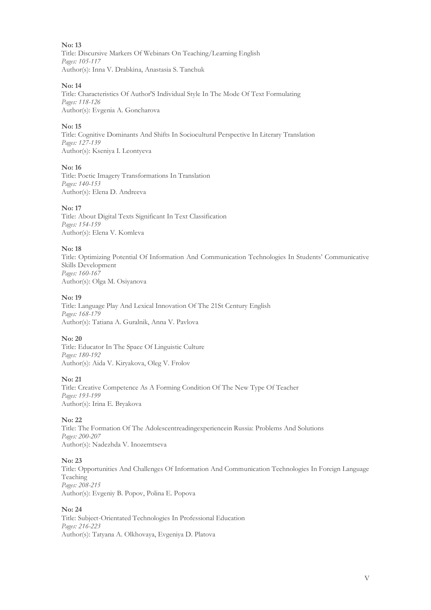Title: Discursive Markers Of Webinars On Teaching/Learning English *Pages: 105-117* Author(s): Inna V. Drabkina, Anastasia S. Tanchuk

## **No: 14**

Title: Characteristics Of Author'S Individual Style In The Mode Of Text Formulating *Pages: 118-126* Author(s): Evgenia A. Goncharova

## **No: 15**

Title: Cognitive Dominants And Shifts In Sociocultural Perspective In Literary Translation *Pages: 127-139* Author(s): Kseniya I. Leontyeva

## **No: 16**

Title: Poetic Imagery Transformations In Translation *Pages: 140-153* Author(s): Elena D. Andreeva

## **No: 17**

Title: About Digital Texts Significant In Text Classification *Pages: 154-159* Author(s): Elena V. Komleva

## **No: 18**

Title: Optimizing Potential Of Information And Communication Technologies In Students' Communicative Skills Development *Pages: 160-167* Author(s): Olga M. Osiyanova

## **No: 19**

Title: Language Play And Lexical Innovation Of The 21St Century English *Pages: 168-179* Author(s): Tatiana A. Guralnik, Anna V. Pavlova

## **No: 20**

Title: Educator In The Space Of Linguistic Culture *Pages: 180-192* Author(s): Aida V. Kiryakova, Oleg V. Frolov

## **No: 21**

Title: Creative Competence As A Forming Condition Of The New Type Of Teacher *Pages: 193-199* Author(s): Irina E. Bryakova

## **No: 22**

Title: The Formation Of The Adolescentreadingexperiencein Russia: Problems And Solutions *Pages: 200-207* Author(s): Nadezhda V. Inozemtseva

## **No: 23**

Title: Opportunities And Challenges Of Information And Communication Technologies In Foreign Language Teaching *Pages: 208-215* Author(s): Evgeniy B. Popov, Polina E. Popova

## **No: 24**

Title: Subject-Orientated Technologies In Professional Education *Pages: 216-223* Author(s): Tatyana A. Olkhovaya, Evgeniya D. Platova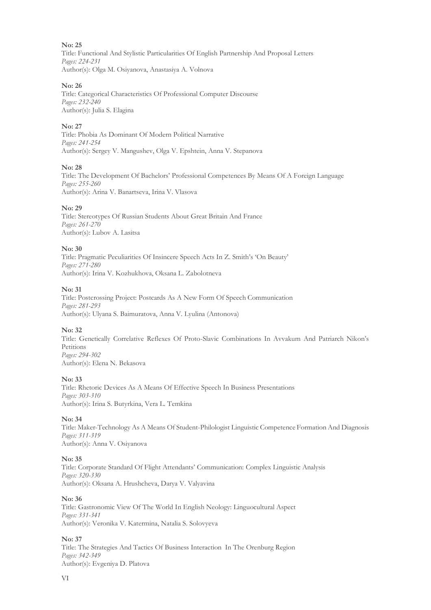Title: Functional And Stylistic Particularities Of English Partnership And Proposal Letters *Pages: 224-231* Author(s): Olga M. Osiyanova, Anastasiya A. Volnova

## **No: 26**

Title: Categorical Characteristics Of Professional Computer Discourse *Pages: 232-240* Author(s): Julia S. Elagina

## **No: 27**

Title: Phobia As Dominant Of Modern Political Narrative *Pages: 241-254* Author(s): Sergey V. Mangushev, Olga V. Epshtein, Anna V. Stepanova

## **No: 28**

Title: The Development Of Bachelors' Professional Competences By Means Of A Foreign Language *Pages: 255-260* Author(s): Arina V. Banartseva, Irina V. Vlasova

## **No: 29**

Title: Stereotypes Of Russian Students About Great Britain And France *Pages: 261-270* Author(s): Lubov A. Lasitsa

## **No: 30**

Title: Pragmatic Peculiarities Of Insincere Speech Acts In Z. Smith's 'On Beauty' *Pages: 271-280* Author(s): Irina V. Kozhukhova, Oksana L. Zabolotneva

## **No: 31**

Title: Postcrossing Project: Postcards As A New Form Of Speech Communication *Pages: 281-293* Author(s): Ulyana S. Baimuratova, Anna V. Lyulina (Antonova)

## **No: 32**

Title: Genetically Correlative Reflexes Of Proto-Slavic Combinations In Avvakum And Patriarch Nikon's Petitions *Pages: 294-302* Author(s): Elena N. Bekasova

## **No: 33**

Title: Rhetoric Devices As A Means Of Effective Speech In Business Presentations *Pages: 303-310* Author(s): Irina S. Butyrkina, Vera L. Temkina

## **No: 34**

Title: Maker-Technology As A Means Of Student-Philologist Linguistic Competence Formation And Diagnosis *Pages: 311-319* Author(s): Anna V. Osiyanova

## **No: 35**

Title: Corporate Standard Of Flight Attendants' Communication: Complex Linguistic Analysis *Pages: 320-330* Author(s): Oksana A. Hrushcheva, Darya V. Valyavina

#### **No: 36**

Title: Gastronomic View Of The World In English Neology: Linguocultural Aspect *Pages: 331-341* Author(s): Veronika V. Katermina, Natalia S. Solovyeva

#### **No: 37**

Title: The Strategies And Tactics Of Business Interaction In The Orenburg Region *Pages: 342-349* Author(s): Evgeniya D. Platova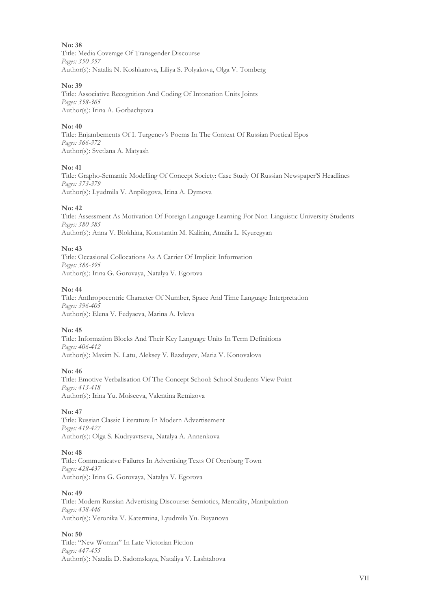Title: Media Coverage Of Transgender Discourse *Pages: 350-357* Author(s): Natalia N. Koshkarova, Liliya S. Polyakova, Olga V. Tomberg

## **No: 39**

Title: Associative Recognition And Coding Of Intonation Units Joints *Pages: 358-365* Author(s): Irina A. Gorbachyova

## **No: 40**

Title: Enjambements Of I. Turgenev's Poems In The Context Of Russian Poetical Epos *Pages: 366-372* Author(s): Svetlana A. Matyash

## **No: 41**

Title: Grapho-Semantic Modelling Of Concept Society: Case Study Of Russian Newspaper'S Headlines *Pages: 373-379* Author(s): Lyudmila V. Anpilogova, Irina A. Dymova

## **No: 42**

Title: Assessment As Motivation Of Foreign Language Learning For Non-Linguistic University Students *Pages: 380-385* Author(s): Anna V. Blokhina, Konstantin M. Kalinin, Amalia L. Kyuregyan

## **No: 43**

Title: Occasional Collocations As A Carrier Of Implicit Information *Pages: 386-395* Author(s): Irina G. Gorovaya, Natalya V. Egorova

## **No: 44**

Title: Anthropocentric Character Of Number, Space And Time Language Interpretation *Pages: 396-405* Author(s): Elena V. Fedyaeva, Marina A. Ivleva

## **No: 45**

Title: Information Blocks And Their Key Language Units In Term Definitions *Pages: 406-412* Author(s): Maxim N. Latu, Aleksey V. Razduyev, Maria V. Konovalova

#### **No: 46**

Title: Emotive Verbalisation Of The Concept School: School Students View Point *Pages: 413-418* Author(s): Irina Yu. Moiseeva, Valentina Remizova

## **No: 47**

Title: Russian Classic Literature In Modern Advertisement *Pages: 419-427* Author(s): Olga S. Kudryavtseva, Natalya A. Annenkova

#### **No: 48**

Title: Communicatve Failures In Advertising Texts Of Orenburg Town *Pages: 428-437* Author(s): Irina G. Gorovaya, Natalya V. Egorova

#### **No: 49**

Title: Modern Russian Advertising Discourse: Semiotics, Mentality, Manipulation *Pages: 438-446* Author(s): Veronika V. Katermina, Lyudmila Yu. Buyanova

## **No: 50**

Title: "New Woman" In Late Victorian Fiction *Pages: 447-455* Author(s): Natalia D. Sadomskaya, Nataliya V. Lashtabova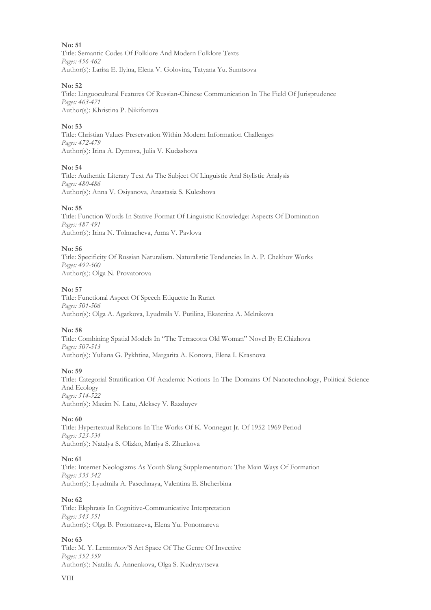Title: Semantic Codes Of Folklore And Modern Folklore Texts *Pages: 456-462* Author(s): Larisa E. Ilyina, Elena V. Golovina, Tatyana Yu. Sumtsova

#### **No: 52**

Title: Linguocultural Features Of Russian-Chinese Communication In The Field Of Jurisprudence *Pages: 463-471* Author(s): Khristina P. Nikiforova

## **No: 53**

Title: Christian Values Preservation Within Modern Information Challenges *Pages: 472-479* Author(s): Irina A. Dymova, Julia V. Kudashova

## **No: 54**

Title: Authentic Literary Text As The Subject Of Linguistic And Stylistic Analysis *Pages: 480-486* Author(s): Anna V. Osiyanova, Anastasia S. Kuleshova

## **No: 55**

Title: Function Words In Stative Format Of Linguistic Knowledge: Aspects Of Domination *Pages: 487-491* Author(s): Irina N. Tolmacheva, Anna V. Pavlova

## **No: 56**

Title: Specificity Of Russian Naturalism. Naturalistic Tendencies In A. P. Chekhov Works *Pages: 492-500* Author(s): Olga N. Provatorova

## **No: 57**

Title: Functional Aspect Of Speech Etiquette In Runet *Pages: 501-506* Author(s): Olga A. Agarkova, Lyudmila V. Putilina, Ekaterina A. Melnikova

## **No: 58**

Title: Combining Spatial Models In "The Terracotta Old Woman" Novel By E.Chizhova *Pages: 507-513* Author(s): Yuliana G. Pykhtina, Margarita A. Konova, Elena I. Krasnova

## **No: 59**

Title: Categorial Stratification Of Academic Notions In The Domains Of Nanotechnology, Political Science And Ecology *Pages: 514-522* Author(s): Maxim N. Latu, Aleksey V. Razduyev

#### **No: 60**

Title: Hypertextual Relations In The Works Of K. Vonnegut Jr. Of 1952-1969 Period *Pages: 523-534* Author(s): Natalya S. Olizko, Mariya S. Zhurkova

#### **No: 61**

Title: Internet Neologizms As Youth Slang Supplementation: The Main Ways Of Formation *Pages: 535-542* Author(s): Lyudmila A. Pasechnaya, Valentina E. Shcherbina

#### **No: 62**

Title: Ekphrasis In Cognitive-Communicative Interpretation *Pages: 543-551* Author(s): Olga B. Ponomareva, Elena Yu. Ponomareva

#### **No: 63**

Title: M. Y. Lermontov'S Art Space Of The Genre Of Invective *Pages: 552-559* Author(s): Natalia A. Annenkova, Olga S. Kudryavtseva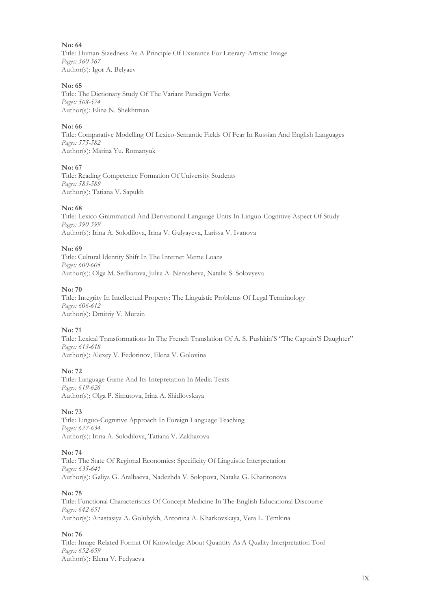**No: 64** Title: Human-Sizedness As A Principle Of Existance For Literary-Artistic Image *Pages: 560-567* Author(s): Igor A. Belyaev

## **No: 65**

Title: The Dictionary Study Of The Variant Paradigm Verbs *Pages: 568-574* Author(s): Elina N. Shekhtman

## **No: 66**

Title: Comparative Modelling Of Lexico-Semantic Fields Of Fear In Russian And English Languages *Pages: 575-582* Author(s): Marina Yu. Romanyuk

#### **No: 67**

Title: Reading Competence Formation Of University Students *Pages: 583-589* Author(s): Tatiana V. Sapukh

## **No: 68**

Title: Lexico-Grammatical And Derivational Language Units In Linguo-Cognitive Aspect Of Study *Pages: 590-599* Author(s): Irina A. Solodilova, Irina V. Gulyayeva, Larissa V. Ivanova

## **No: 69**

Title: Cultural Identity Shift In The Internet Meme Loans *Pages: 600-605* Author(s): Olga M. Sedliarova, Juliia A. Nenasheva, Natalia S. Solovyeva

## **No: 70**

Title: Integrity In Intellectual Property: The Linguistic Problems Of Legal Terminology *Pages: 606-612* Author(s): Dmitriy V. Murzin

## **No: 71**

Title: Lexical Transformations In The French Translation Of A. S. Pushkin'S "The Captain'S Daughter" *Pages: 613-618* Author(s): Alexey V. Fedorinov, Elena V. Golovina

## **No: 72**

Title: Language Game And Its Intepretation In Media Texts *Pages: 619-626* Author(s): Olga P. Simutova, Irina A. Shidlovskaya

## **No: 73**

Title: Linguo-Cognitive Approach In Foreign Language Teaching *Pages: 627-634* Author(s): Irina A. Solodilova, Tatiana V. Zakharova

#### **No: 74**

Title: The State Of Regional Economics: Specificity Of Linguistic Interpretation *Pages: 635-641* Author(s): Galiya G. Aralbaeva, Nadezhda V. Solopova, Natalia G. Kharitonova

#### **No: 75**

Title: Functional Characteristics Of Concept Medicine In The English Educational Discourse *Pages: 642-651* Author(s): Anastasiya A. Golubykh, Antonina A. Kharkovskaya, Vera L. Temkina

## **No: 76**

Title: Image-Related Format Of Knowledge About Quantity As A Quality Interpretation Tool *Pages: 652-659* Author(s): Elena V. Fedyaeva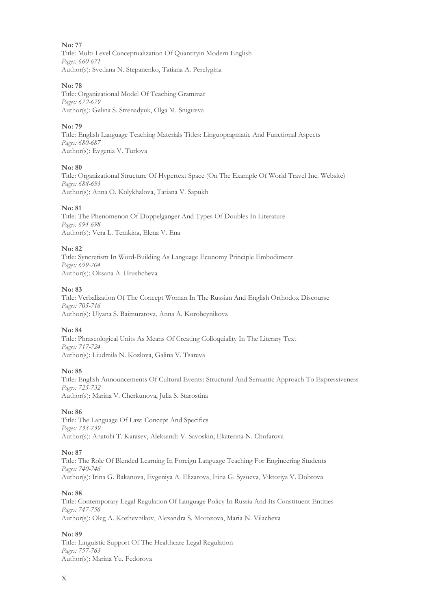**No: 77** Title: Multi-Level Conceptualization Of Quantityin Modern English *Pages: 660-671* Author(s): Svetlana N. Stepanenko, Tatiana A. Perelygina

## **No: 78**

Title: Organizational Model Of Teaching Grammar *Pages: 672-679* Author(s): Galina S. Strenadyuk, Olga M. Snigireva

## **No: 79**

Title: English Language Teaching Materials Titles: Linguopragmatic And Functional Aspects *Pages: 680-687* Author(s): Evgenia V. Turlova

## **No: 80**

Title: Organizational Structure Of Hypertext Space (On The Example Of World Travel Inc. Website) *Pages: 688-693* Author(s): Anna O. Kolykhalova, Tatiana V. Sapukh

## **No: 81**

Title: The Phenomenon Of Doppelganger And Types Of Doubles In Literature *Pages: 694-698* Author(s): Vera L. Temkina, Elena V. Ena

## **No: 82**

Title: Syncretism In Word-Building As Language Economy Principle Embodiment *Pages: 699-704* Author(s): Oksana A. Hrushcheva

## **No: 83**

Title: Verbalization Of The Concept Woman In The Russian And English Orthodox Discourse *Pages: 705-716* Author(s): Ulyana S. Baimuratova, Anna A. Korobeynikova

## **No: 84**

Title: Phraseological Units As Means Of Creating Colloquiality In The Literary Text *Pages: 717-724* Author(s): Liudmila N. Kozlova, Galina V. Tsareva

#### **No: 85**

Title: English Announcements Of Cultural Events: Structural And Semantic Approach To Expressiveness *Pages: 725-732* Author(s): Marina V. Cherkunova, Julia S. Starostina

## **No: 86**

Title: The Language Of Law: Concept And Specifics *Pages: 733-739* Author(s): Anatolii T. Karasev, Aleksandr V. Savoskin, Ekaterina N. Chufarova

## **No: 87**

Title: The Role Of Blended Learning In Foreign Language Teaching For Engineering Students *Pages: 740-746* Author(s): Irina G. Bakanova, Evgeniya A. Elizarova, Irina G. Sysueva, Viktoriya V. Dobrova

#### **No: 88**

Title: Contemporary Legal Regulation Of Language Policy In Russia And Its Constituent Entities *Pages: 747-756* Author(s): Oleg A. Kozhevnikov, Alexandra S. Morozova, Maria N. Vilacheva

## **No: 89**

Title: Linguistic Support Of The Healthcare Legal Regulation *Pages: 757-763* Author(s): Marina Yu. Fedorova